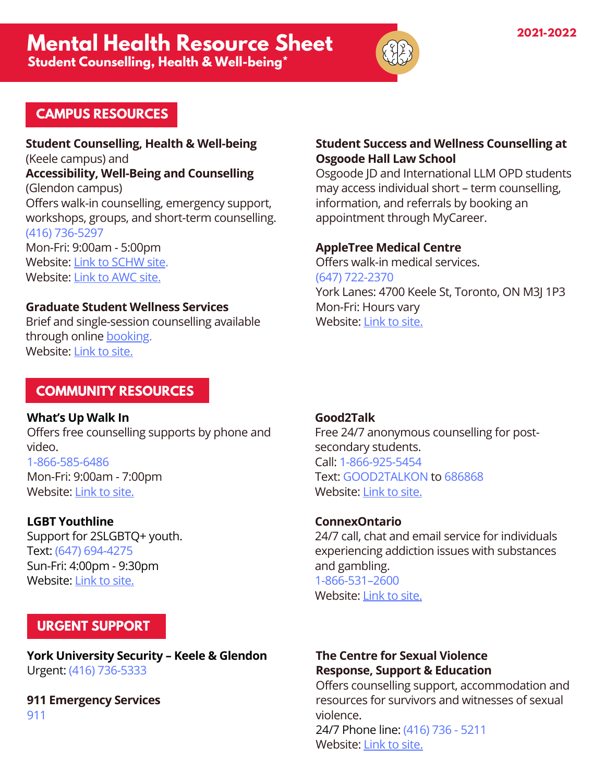

# **CAMPUS RESOURCES**

**Student Counselling, Health & Well-being** (Keele campus) and **Accessibility, Well-Being and Counselling** (Glendon campus) Offers walk-in counselling, emergency support, workshops, groups, and short-term counselling. (416) 736-5297

Mon-Fri: 9:00am - 5:00pm Website: Link to [SCHW](https://counselling.students.yorku.ca/) site. Website: Link to [AWC](https://www.glendon.yorku.ca/counselling/) site.

### **Graduate Student Wellness Services**

Brief and single-session counselling available through online **booking**. Website: [Link](https://gradstudies.yorku.ca/current-students/wellness-services/) to site.

### **COMMUNITY RESOURCES**

**What's Up Walk In** Offers free counselling supports by phone and video. 1-866-585-6486 Mon-Fri: 9:00am - 7:00pm Website: [Link](https://www.whatsupwalkin.ca/) to site.

**LGBT Youthline** Support for 2SLGBTQ+ youth. Text: (647) 694-4275 Sun-Fri: 4:00pm - 9:30pm Website: [Link](https://www.youthline.ca/) to site.

# **URGENT SUPPORT**

**York University Security – Keele & Glendon** Urgent: (416) 736-5333

**911 Emergency Services** 911

### **Student Success and Wellness Counselling at Osgoode Hall Law School**

Osgoode JD and International LLM OPD students may access individual short – term counselling, information, and referrals by booking an appointment through MyCareer.

### **AppleTree Medical Centre**

Offers walk-in medical services. (647) 722-2370 York Lanes: 4700 Keele St, Toronto, ON M3J 1P3 Mon-Fri: Hours vary Website: [Link](https://appletreemedicalgroup.com/clinic-locations/4700-keele-st-york-lanes-on-campus-keele-entrance/) to site.

### **Good2Talk**

Free 24/7 anonymous counselling for postsecondary students. Call: 1-866-925-5454 Text: GOOD2TALKON to 686868 Website: Link to [site.](https://good2talk.ca/ontario/)

#### **ConnexOntario**

24/7 call, chat and email service for individuals experiencing addiction issues with substances and gambling. 1-866-531–2600 Website: Link to [site.](https://www.connexontario.ca/en-ca/)

## **The Centre for Sexual Violence Response, Support & Education**

Offers counselling support, accommodation and resources for survivors and witnesses of sexual violence. 24/7 Phone line: (416) 736 - 5211 Website: [Link](https://thecentre.yorku.ca/) to site.